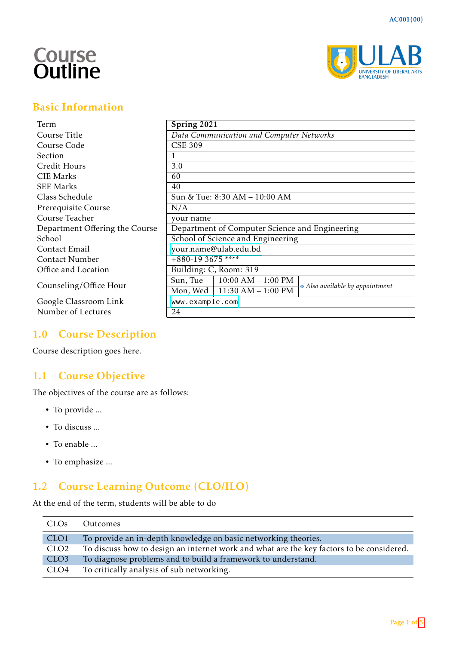# **Course**<br>Outline



# Basic Information

| Term                           | Spring 2021                                                               |  |  |
|--------------------------------|---------------------------------------------------------------------------|--|--|
| Course Title                   | Data Communication and Computer Networks                                  |  |  |
| Course Code                    | <b>CSE 309</b>                                                            |  |  |
| <b>Section</b>                 |                                                                           |  |  |
| Credit Hours                   | 3.0                                                                       |  |  |
| <b>CIE Marks</b>               | 60                                                                        |  |  |
| <b>SEE Marks</b>               | 40                                                                        |  |  |
| Class Schedule                 | Sun & Tue: 8:30 AM - 10:00 AM                                             |  |  |
| Prerequisite Course            | N/A                                                                       |  |  |
| Course Teacher                 | your name                                                                 |  |  |
| Department Offering the Course | Department of Computer Science and Engineering                            |  |  |
| School                         | School of Science and Engineering                                         |  |  |
| Contact Email                  | your.name@ulab.edu.bd                                                     |  |  |
| Contact Number                 | $+880-193675$ ****                                                        |  |  |
| Office and Location            | Building: C, Room: 319                                                    |  |  |
|                                | Sun, True<br>$10:00$ AM $- 1:00$ PM                                       |  |  |
| Counseling/Office Hour         | * Also available by appointment<br>$11:30$ AM $- 1:00$ PM<br>Mon, Wed $ $ |  |  |
| Google Classroom Link          | www.example.com                                                           |  |  |
| Number of Lectures             | 24                                                                        |  |  |

# 1.0 Course Description

Course description goes here.

# 1.1 Course Objective

The objectives of the course are as follows:

- To provide ...
- To discuss ...
- To enable ...
- To emphasize ...

# 1.2 Course Learning Outcome (CLO/ILO)

At the end of the term, students will be able to do

| CLOs             | Outcomes                                                                                 |
|------------------|------------------------------------------------------------------------------------------|
| CLO <sub>1</sub> | To provide an in-depth knowledge on basic networking theories.                           |
| CLO <sub>2</sub> | To discuss how to design an internet work and what are the key factors to be considered. |
| CLO <sub>3</sub> | To diagnose problems and to build a framework to understand.                             |
| CLO4             | To critically analysis of sub networking.                                                |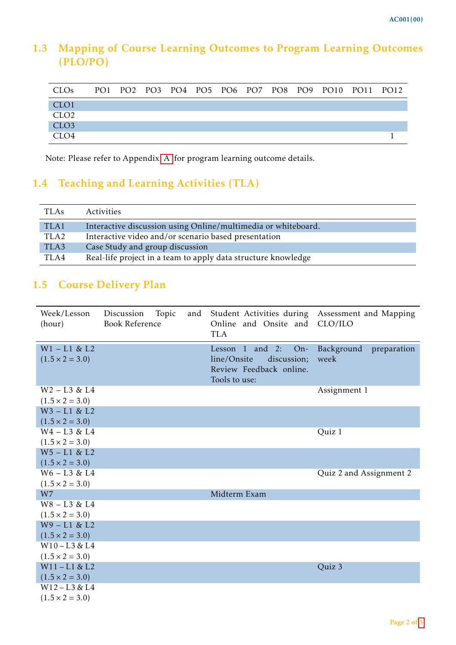# 1.3 Mapping of Course Learning Outcomes to Program Learning Outcomes (PLO/PO)

| <b>CLOs</b>      |  |  |  |  | PO1 PO2 PO3 PO4 PO5 PO6 PO7 PO8 PO9 PO10 PO11 PO12 |  |
|------------------|--|--|--|--|----------------------------------------------------|--|
| CLO <sub>1</sub> |  |  |  |  |                                                    |  |
| CLO <sub>2</sub> |  |  |  |  |                                                    |  |
| CLO <sub>3</sub> |  |  |  |  |                                                    |  |
| CLO4             |  |  |  |  |                                                    |  |

Note: Please refer to Appendix [A](#page-4-1) for program learning outcome details.

# 1.4 Teaching and Learning Activities (TLA)

| <b>TLAs</b>      | <b>Activities</b>                                             |
|------------------|---------------------------------------------------------------|
| TLA1             | Interactive discussion using Online/multimedia or whiteboard. |
| TLA <sub>2</sub> | Interactive video and/or scenario based presentation          |
| TLA3             | Case Study and group discussion                               |
| TLA4             | Real-life project in a team to apply data structure knowledge |

# 1.5 Course Delivery Plan

| Week/Lesson<br>(hour)                      | Discussion<br>Topic<br><b>Book Reference</b> | and | Student Activities during<br>Online and Onsite and<br><b>TLA</b>                                        | Assessment and Mapping<br>CLO/ILO |
|--------------------------------------------|----------------------------------------------|-----|---------------------------------------------------------------------------------------------------------|-----------------------------------|
| $W1 - L1 & 2L2$<br>$(1.5 \times 2 = 3.0)$  |                                              |     | Lesson $1$ and $2$ :<br>$On-$<br>line/Onsite<br>discussion;<br>Review Feedback online.<br>Tools to use: | Background<br>preparation<br>week |
| $W2 - L3 & L4$<br>$(1.5 \times 2 = 3.0)$   |                                              |     |                                                                                                         | Assignment 1                      |
| $W3 - L1 &  kL2$<br>$(1.5 \times 2 = 3.0)$ |                                              |     |                                                                                                         |                                   |
| $W4 - L3 & L4$<br>$(1.5 \times 2 = 3.0)$   |                                              |     |                                                                                                         | Quiz 1                            |
| $W5 - L1 & 2L2$<br>$(1.5 \times 2 = 3.0)$  |                                              |     |                                                                                                         |                                   |
| $W6 - L3 & L4$<br>$(1.5 \times 2 = 3.0)$   |                                              |     |                                                                                                         | Quiz 2 and Assignment 2           |
| W7<br>$W8 - L3 & L4$                       |                                              |     | Midterm Exam                                                                                            |                                   |
| $(1.5 \times 2 = 3.0)$                     |                                              |     |                                                                                                         |                                   |
| $W9 - L1 & 2L2$<br>$(1.5 \times 2 = 3.0)$  |                                              |     |                                                                                                         |                                   |
| $W10 - L3 & L4$                            |                                              |     |                                                                                                         |                                   |
| $(1.5 \times 2 = 3.0)$                     |                                              |     |                                                                                                         |                                   |
| $W11 - L1 & EL2$                           |                                              |     |                                                                                                         | Quiz 3                            |
| $(1.5 \times 2 = 3.0)$<br>$W12 - L3 & L4$  |                                              |     |                                                                                                         |                                   |
| $(1.5 \times 2 = 3.0)$                     |                                              |     |                                                                                                         |                                   |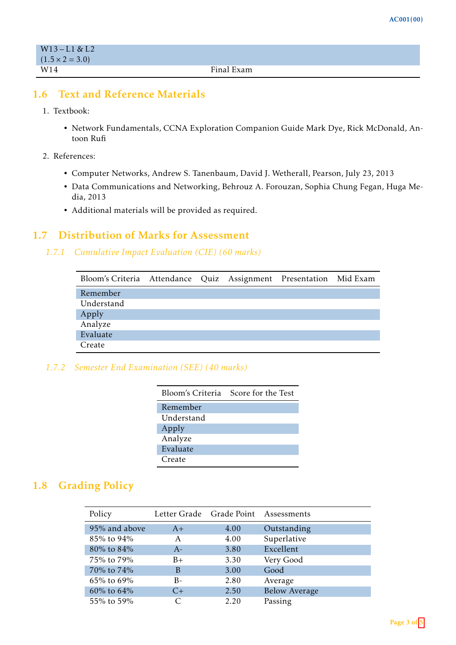| $W13 - L1 & 2l$        |            |
|------------------------|------------|
| $(1.5 \times 2 = 3.0)$ |            |
| W14                    | Final Exam |

### 1.6 Text and Reference Materials

- 1. Textbook:
	- Network Fundamentals, CCNA Exploration Companion Guide Mark Dye, Rick McDonald, Antoon Rufi
- 2. References:
	- Computer Networks, Andrew S. Tanenbaum, David J. Wetherall, Pearson, July 23, 2013
	- Data Communications and Networking, Behrouz A. Forouzan, Sophia Chung Fegan, Huga Media, 2013
	- Additional materials will be provided as required.

#### 1.7 Distribution of Marks for Assessment

#### *1.7.1 Cumulative Impact Evaluation (CIE) (60 marks)*

| Bloom's Criteria Attendance Quiz Assignment Presentation Mid Exam |  |  |  |
|-------------------------------------------------------------------|--|--|--|
| Remember                                                          |  |  |  |
| Understand                                                        |  |  |  |
| Apply                                                             |  |  |  |
| Analyze                                                           |  |  |  |
| Evaluate                                                          |  |  |  |
| Create                                                            |  |  |  |

#### *1.7.2 Semester End Examination (SEE) (40 marks)*

| Bloom's Criteria | Score for the Test |
|------------------|--------------------|
| Remember         |                    |
| Understand       |                    |
| Apply            |                    |
| Analyze          |                    |
| Evaluate         |                    |
| Create           |                    |

## 1.8 Grading Policy

| Policy        |      | Letter Grade Grade Point Assessments |                      |
|---------------|------|--------------------------------------|----------------------|
| 95% and above | $A+$ | 4.00                                 | Outstanding          |
| 85% to 94%    | A    | 4.00                                 | Superlative          |
| 80% to 84%    | $A-$ | 3.80                                 | Excellent            |
| 75% to 79%    | $B+$ | 3.30                                 | Very Good            |
| 70% to 74%    | B    | 3.00                                 | Good                 |
| 65% to 69%    | $B-$ | 2.80                                 | Average              |
| 60% to $64%$  | $C+$ | 2.50                                 | <b>Below Average</b> |
| 55% to 59%    | C    | 2.20                                 | Passing              |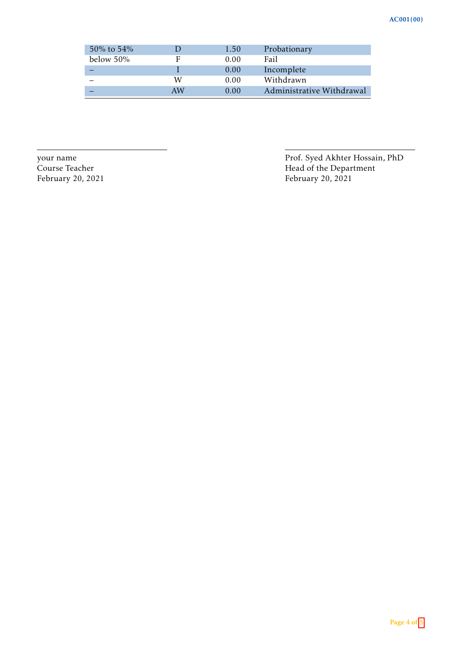| 50\% to 54\% |    | 1.50 | Probationary              |
|--------------|----|------|---------------------------|
| below $50\%$ | F  | 0.00 | Fail                      |
|              |    | 0.00 | Incomplete                |
|              | W  | 0.00 | Withdrawn                 |
|              | AW | 0.00 | Administrative Withdrawal |

your name Prof. Syed Akhter Hossain, PhD Course Teacher Head of the Department February 20, 2021 February 20, 2021